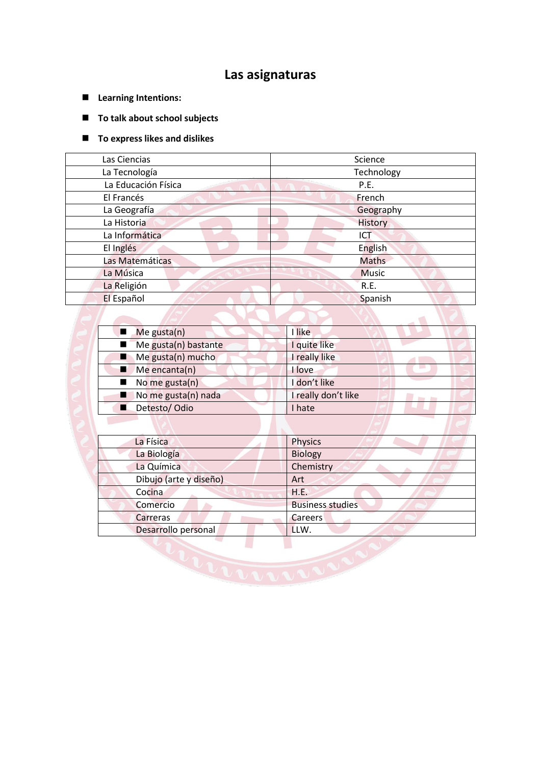# **Las asignaturas**

- **Learning Intentions:**
- **To talk about school subjects**

### **To express likes and dislikes**

| Las Ciencias        | Science      |  |  |
|---------------------|--------------|--|--|
| La Tecnología       | Technology   |  |  |
| La Educación Física | P.E.         |  |  |
| El Francés          | French       |  |  |
| La Geografía        | Geography    |  |  |
| La Historia         | History      |  |  |
| La Informática      | ICT          |  |  |
| El Inglés           | English      |  |  |
| Las Matemáticas     | <b>Maths</b> |  |  |
| La Música           | <b>Music</b> |  |  |
| La Religión         | R.E.         |  |  |
| El Español          | Spanish      |  |  |

| $M$ e gusta $(n)$                | I like              |
|----------------------------------|---------------------|
| Me gusta(n) bastante             | quite like          |
| $\blacksquare$ Me gusta(n) mucho | really like         |
| $M$ e encanta(n)                 | love                |
| $\blacksquare$ No me gusta(n)    | I don't like        |
| No me gusta(n) nada              | I really don't like |
| Detesto/Odio                     | I hate              |

| La Física              | <b>Physics</b>          |
|------------------------|-------------------------|
| La Biología            | <b>Biology</b>          |
| La Química             | Chemistry               |
| Dibujo (arte y diseño) | Art                     |
| Cocina                 | H.E.                    |
| Comercio               | <b>Business studies</b> |
| Carreras               | Careers                 |
| Desarrollo personal    | LLW.                    |
|                        |                         |
|                        |                         |
|                        |                         |
|                        |                         |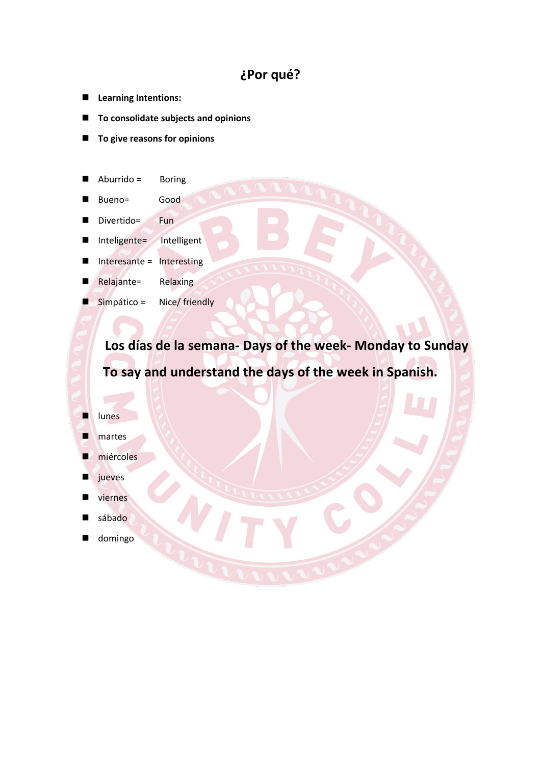# **¿Por qué?**

- **Learning Intentions:**
- **To consolidate subjects and opinions**
- **To give reasons for opinions**
- Aburrido = Boring
- Bueno= Good
- Divertido= Fun
- Inteligente= Intelligent
- Interesante = Interesting
- Relajante= Relaxing
- Simpático = Nice/ friendly

**Los días de la semana- Days of the week- Monday to Sunday To say and understand the days of the week in Spanish.**

### lunes

- martes
- miércoles
- jueves
- viernes
- sábado
- domingo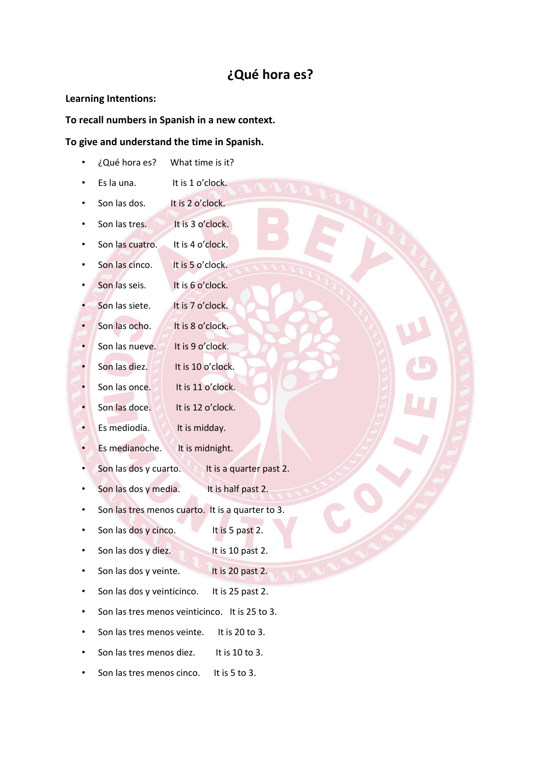## **¿Qué hora es?**

### **Learning Intentions:**

### **To recall numbers in Spanish in a new context.**

### **To give and understand the time in Spanish.**

- ¿Qué hora es? What time is it?
- Es la una. It is 1 o'clock.
- Son las dos. It is 2 o'clock.
- Son las tres. It is 3 o'clock.
- Son las cuatro. It is 4 o'clock.
- Son las cinco. It is 5 o'clock.
- Son las seis. It is 6 o'clock.
- Son las siete. It is 7 o'clock.
- Son las ocho. It is 8 o'clock.
- Son las nueve. It is 9 o'clock.
- Son las diez. It is 10 o'clock.
- Son las once. It is 11 o'clock.
- Son las doce. It is 12 o'clock.
- Es mediodía. It is midday.
- Es medianoche. It is midnight.
- Son las dos y cuarto. It is a quarter past 2.
- Son las dos y media. It is half past 2.
- Son las tres menos cuarto. It is a quarter to 3.
- Son las dos y cinco. It is 5 past 2.
- Son las dos y diez. It is 10 past 2.
- Son las dos y veinte. It is 20 past 2.
- Son las dos y veinticinco. It is 25 past 2.
- Son las tres menos veinticinco. It is 25 to 3.
- Son las tres menos veinte. It is 20 to 3.
- Son las tres menos diez. It is 10 to 3.
- Son las tres menos cinco. It is 5 to 3.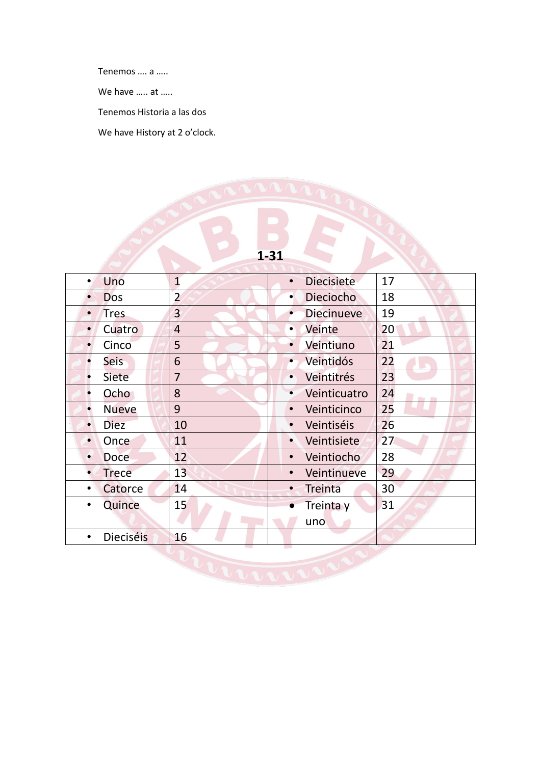Tenemos …. a …..

We have ..... at .....

Tenemos Historia a las dos

We have History at 2 o'clock.



 $\mathcal{N}$ 

| Uno                           | $\mathbf{1}$   | <b>Diecisiete</b><br>$\bullet$ | 17                         |  |  |  |
|-------------------------------|----------------|--------------------------------|----------------------------|--|--|--|
| <b>Dos</b>                    | $\overline{2}$ | Dieciocho<br>$\bullet$         | 18                         |  |  |  |
| <b>Tres</b><br>$\bullet$      | 3              | <b>Diecinueve</b><br>$\bullet$ | 19                         |  |  |  |
| Cuatro<br>$\bullet$           | $\overline{4}$ | Veinte<br>$\bullet$            | 20                         |  |  |  |
| Cinco<br>$\bullet$            | 5              | Veintiuno<br>$\bullet$         | 21                         |  |  |  |
| <b>Seis</b><br>$\bullet$      | 6              | Veintidós<br>$\bullet$         | 22                         |  |  |  |
| <b>Siete</b><br>$\bullet$     | $\overline{7}$ | Veintitrés<br>$\bullet$        | 23                         |  |  |  |
| Ocho<br>$\bullet$             | 8              | Veinticuatro<br>$\bullet$      | 24<br><b>State College</b> |  |  |  |
| <b>Nueve</b><br>$\bullet$     | 9              | Veinticinco<br>$\bullet$       | 25                         |  |  |  |
| <b>Diez</b><br>$\bullet$      | 10             | Veintiséis<br>$\bullet$        | 26                         |  |  |  |
| Once<br>$\bullet$             | 11             | Veintisiete<br>$\bullet$       | 27                         |  |  |  |
| <b>Doce</b><br>$\bullet$      | 12             | Veintiocho<br>$\bullet$        | 28                         |  |  |  |
| <b>Trece</b><br>$\bullet$     | 13             | Veintinueve<br>$\bullet$       | 29                         |  |  |  |
| Catorce<br>٠                  | 14             | <b>Treinta</b><br>$\bullet$    | 30 <sup>°</sup>            |  |  |  |
| Quince<br>$\bullet$           | 15             | Treinta y<br>$\bullet$         | 31                         |  |  |  |
|                               |                | uno                            |                            |  |  |  |
| <b>Dieciséis</b><br>$\bullet$ | 16             |                                |                            |  |  |  |
|                               |                |                                |                            |  |  |  |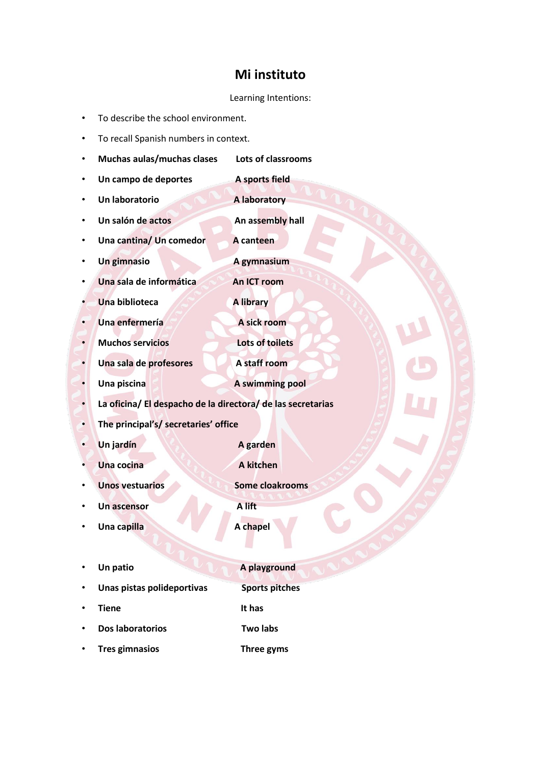### **Mi instituto**

### Learning Intentions:

- To describe the school environment.
- To recall Spanish numbers in context.
- **Muchas aulas/muchas clases Lots of classrooms** • **Un campo de deportes A sports field** • **Un laboratorio A laboratory** • **Un salón de actos An assembly hall** • **Una cantina/ Un comedor A canteen** • **Un gimnasio A gymnasium Una sala de informática An ICT room Una biblioteca A library • Una enfermería A sick room** • **Muchos servicios Lots of toilets Una sala de profesores A staff room** • **Una piscina A swimming pool** • **La oficina/ El despacho de la directora/ de las secretarias** • **The principal's/ secretaries' office** • **Un jardín A garden Una cocina A kitchen Unos vestuarios Some cloakrooms** • **Un ascensor A lift Una capilla A chapel** Un patio **A playground** • **Unas pistas polideportivas Sports pitches Tiene** It has • **Dos laboratorios Two labs**
	- **Tres gimnasios Three gyms**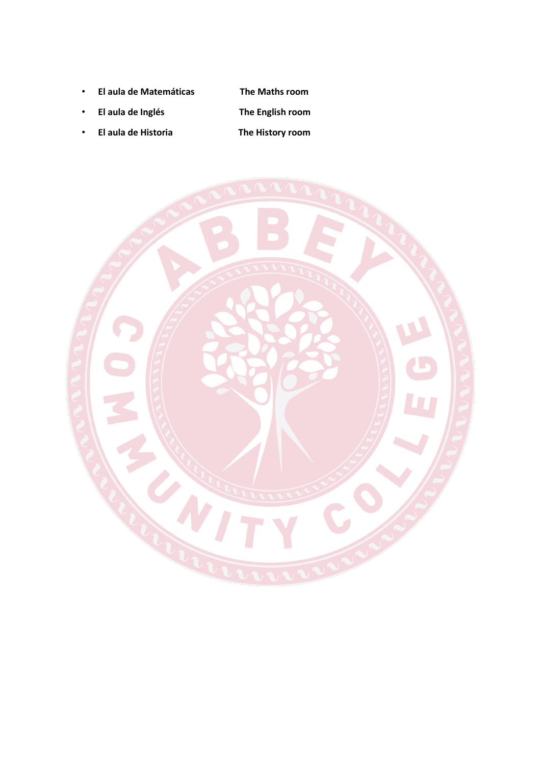• **El aula de Matemáticas The Maths room**

- **El aula de Inglés The English room**
- **El aula de Historia The History room**

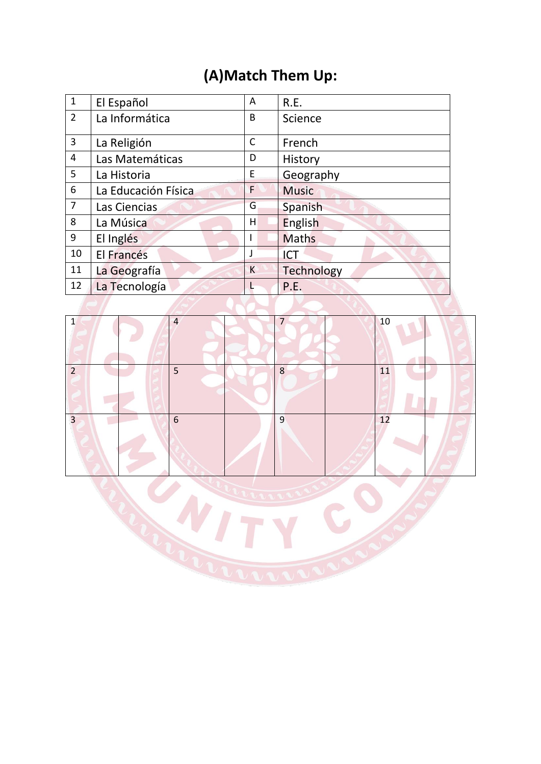# **(A)Match Them Up:**

| $\mathbf{1}$   | El Español          | A            | R.E.              |
|----------------|---------------------|--------------|-------------------|
| $2^{\circ}$    | La Informática      | B            | Science           |
| 3              | La Religión         | $\mathsf{C}$ | French            |
| 4              | Las Matemáticas     | D            | History           |
| 5              | La Historia         | Ε            | Geography         |
| 6              | La Educación Física | F            | <b>Music</b>      |
| $\overline{7}$ | Las Ciencias        | G            | Spanish           |
| 8              | La Música           | Η            | English           |
| 9              | El Inglés           |              | <b>Maths</b>      |
| 10             | El Francés          |              | <b>ICT</b>        |
| 11             | La Geografía        | K            | <b>Technology</b> |
| 12             | La Tecnología       |              | P.E.              |



COLLEGE C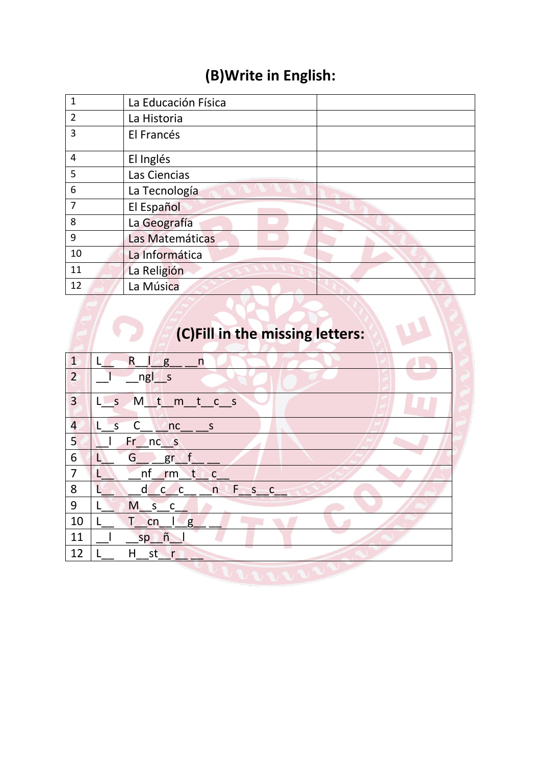# **(B)Write in English:**

| $\mathbf{1}$   | La Educación Física |
|----------------|---------------------|
| $\overline{2}$ | La Historia         |
| 3              | El Francés          |
| 4              | El Inglés           |
| 5              | Las Ciencias        |
| 6              | La Tecnología       |
| $\overline{7}$ | El Español          |
| 8              | La Geografía        |
| 9              | Las Matemáticas     |
| 10             | La Informática      |
| 11             | La Religión         |
| 12             | La Música           |

# **(C)Fill in the missing letters:**

| $\sqrt{1}$       | $\mathsf{R}$<br>n<br>g                            |
|------------------|---------------------------------------------------|
| $\overline{2}$   | $ngL_s$                                           |
| $\overline{3}$   | M t m t c s<br>$\lfloor \cdot \rfloor$            |
| $\overline{a}$   | $L - s$<br>$\mathsf{C}$<br>n c<br>S               |
| 5                | Fr<br>nc <sub>s</sub>                             |
| $6 \overline{6}$ | G.<br>gr<br>U                                     |
| $\overline{7}$   | nf<br>tic<br>rm                                   |
| 8                | n<br>$F_S C$<br><sub>d</sub><br>$\mathbf{C}$<br>C |
| 9                | M <sub>s</sub><br>C.                              |
| 10               | τ<br>cn<br>g                                      |
| 11               | $sp$ $\tilde{n}$                                  |
| 12               | <b>Barnet</b><br>H st r                           |
|                  |                                                   |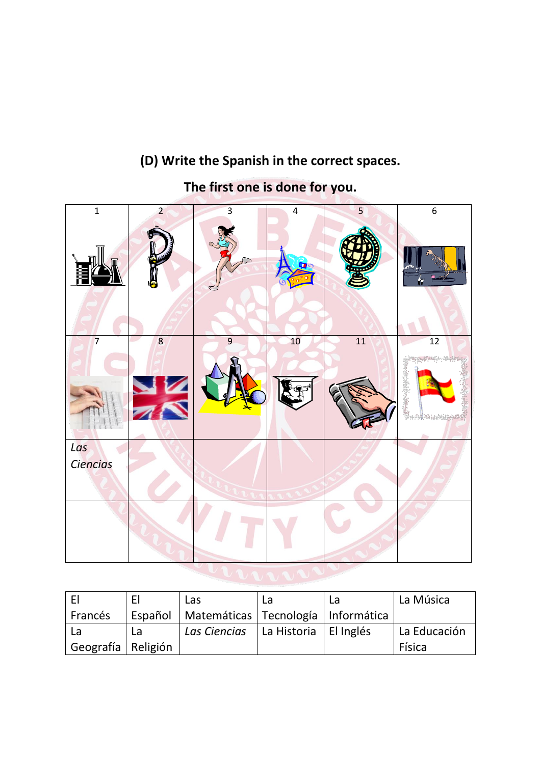# $1 \t 2 \t 3 \t 4 \t 5 \t 6$  $7$   $8$  8 9 10 10 11 1 *Las Ciencias*

# **(D) Write the Spanish in the correct spaces.**

**The first one is done for you.**

| -FI                  | F  | Las                                              | La | La Música            |
|----------------------|----|--------------------------------------------------|----|----------------------|
| Francés              |    | Español   Matemáticas   Tecnología   Informática |    |                      |
| La                   | La | Las Ciencias   La Historia   El Inglés           |    | $\vert$ La Educación |
| Geografía   Religión |    |                                                  |    | Física               |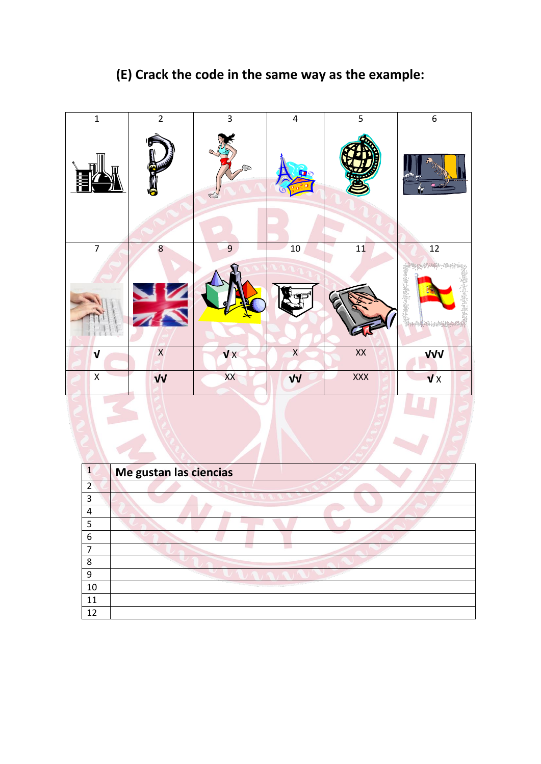# **(E) Crack the code in the same way as the example:**

| $\overline{1}$          | $\overline{2}$ | $\overline{3}$                 | $\overline{\mathbf{4}}$ | 5               | $\boldsymbol{6}$          |  |
|-------------------------|----------------|--------------------------------|-------------------------|-----------------|---------------------------|--|
|                         | ę              | $\circledcirc$<br>$\mathbb{C}$ |                         |                 | Ņ٢                        |  |
| $\overline{7}$          | $\bf 8$        | $\overline{9}$                 | $10\,$                  | ٧<br>${\bf 11}$ | $\overline{12}$           |  |
|                         |                |                                |                         |                 |                           |  |
| $\mathbf v$             | $\mathsf{X}$   | VX                             | $\mathsf X$             | $\mathsf{XX}$   | VVV                       |  |
| $\overline{\mathsf{X}}$ | $\sqrt{V}$     | XX                             | VV                      | XXX             | $\overline{\mathbf{v}}$ x |  |
|                         |                |                                |                         |                 |                           |  |

| 1  | Me gustan las ciencias |
|----|------------------------|
| 2  |                        |
| 3  |                        |
| 4  |                        |
| 5  |                        |
| 6  |                        |
|    |                        |
| 8  |                        |
| 9  |                        |
| 10 |                        |
| 11 |                        |
| 12 |                        |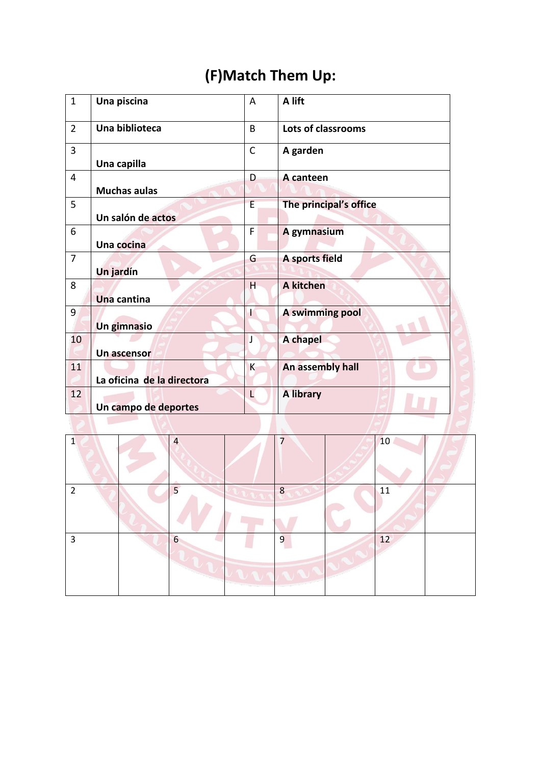# **(F)Match Them Up:**

| $\mathbf{1}$   | Una piscina                | A              | A lift                 |
|----------------|----------------------------|----------------|------------------------|
| $\overline{2}$ | Una biblioteca             | $\overline{B}$ | Lots of classrooms     |
| 3              | Una capilla                | $\mathsf{C}$   | A garden               |
| 4              |                            | D              | A canteen              |
|                | <b>Muchas aulas</b>        |                |                        |
| 5              |                            | E              | The principal's office |
|                | Un salón de actos          |                |                        |
| 6              |                            | F              | A gymnasium            |
|                | Una cocina                 |                |                        |
| $\overline{7}$ |                            | G              | A sports field         |
|                | Un jardín                  |                |                        |
| 8              |                            | H              | A kitchen              |
|                | Una cantina                |                |                        |
| 9              |                            | t              | A swimming pool        |
|                | Un gimnasio                |                |                        |
| 10             |                            | J              | A chapel               |
|                | Un ascensor                |                |                        |
| 11             |                            | K              | An assembly hall       |
|                | La oficina de la directora |                |                        |
| 12             |                            | L              | <b>A library</b>       |
|                | Un campo de deportes       |                |                        |
|                |                            |                |                        |

| $\mathbf{1}$   | $\overline{4}$ | 7 | 10 |  |
|----------------|----------------|---|----|--|
| $\overline{2}$ | 5              | 8 | 11 |  |
| 3              | 6              | 9 | 12 |  |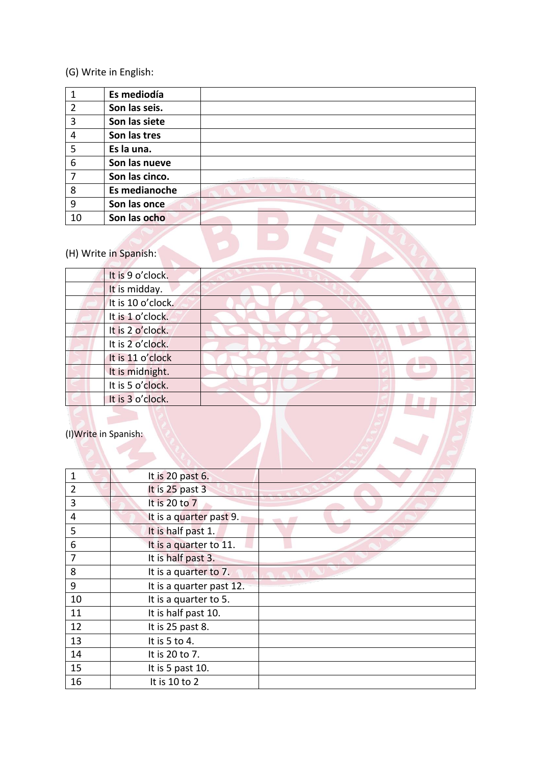### (G) Write in English:

|                | Es mediodía           |  |
|----------------|-----------------------|--|
| $\overline{2}$ | Son las seis.         |  |
| 3              | Son las siete         |  |
| 4              | Son las tres          |  |
| 5              | Es la una.            |  |
| 6              | Son las nueve         |  |
| 7              | Son las cinco.        |  |
| 8              | Es medianoche         |  |
| 9              | Son las once          |  |
| 10             | Son las ocho          |  |
|                | (H) Write in Spanish: |  |

# (H) Write in Spanish:

| It is 9 o'clock.      |  |  |  |
|-----------------------|--|--|--|
| It is midday.         |  |  |  |
| It is 10 o'clock.     |  |  |  |
| It is 1 o'clock.      |  |  |  |
| It is 2 o'clock.      |  |  |  |
| It is 2 o'clock.      |  |  |  |
| It is 11 o'clock      |  |  |  |
| It is midnight.       |  |  |  |
| It is 5 o'clock.      |  |  |  |
| It is 3 o'clock.      |  |  |  |
| (I) Write in Spanish: |  |  |  |
|                       |  |  |  |

| 1              | It is 20 past 6.         |  |
|----------------|--------------------------|--|
| $\overline{2}$ | It is 25 past 3          |  |
| 3              | It is 20 to 7            |  |
| 4              | It is a quarter past 9.  |  |
| 5              | It is half past 1.       |  |
| 6              | It is a quarter to 11.   |  |
| 7              | It is half past 3.       |  |
| 8              | It is a quarter to 7.    |  |
| 9              | It is a quarter past 12. |  |
| 10             | It is a quarter to 5.    |  |
| 11             | It is half past 10.      |  |
| 12             | It is 25 past 8.         |  |
| 13             | It is 5 to 4.            |  |
| 14             | It is 20 to 7.           |  |
| 15             | It is 5 past 10.         |  |
| 16             | It is 10 to 2            |  |